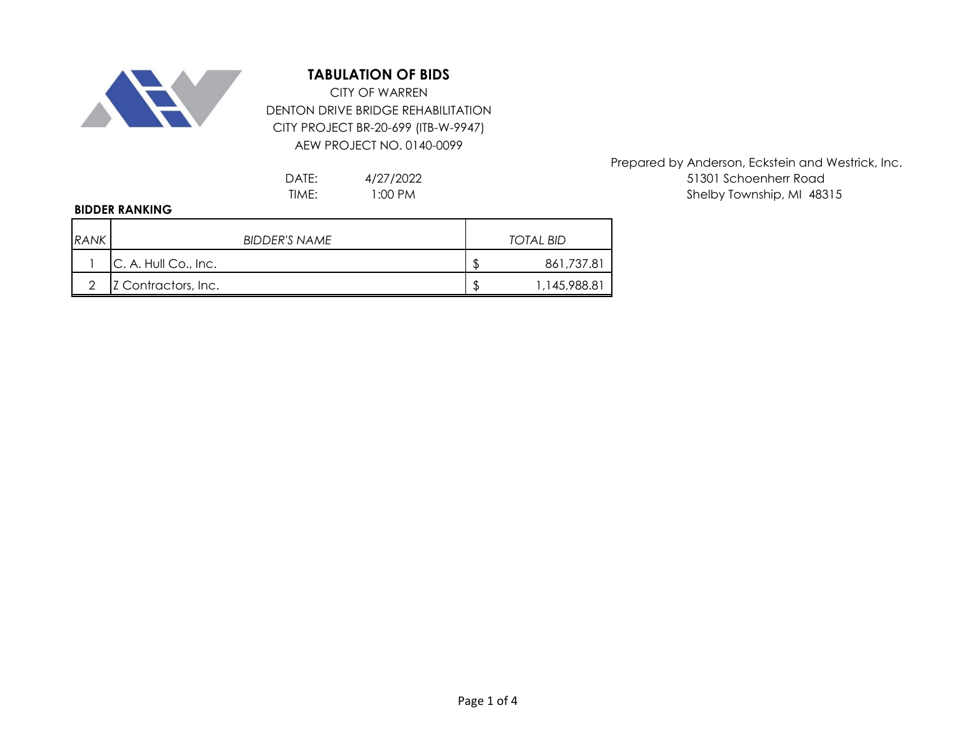

## **TABULATION OF BIDS**

DENTON DRIVE BRIDGE REHABILITATION CITY PROJECT BR-20-699 (ITB-W-9947) AEW PROJECT NO. 0140-0099 CITY OF WARREN

> 4/27/2022 1:00 PM

## **BIDDER RANKING**

| <b>RANK</b> | BIDDER'S NAME        |    | TOTAL BID     |
|-------------|----------------------|----|---------------|
|             | C. A. Hull Co., Inc. | J  | 861,737.81    |
|             | Z Contractors, Inc.  | \$ | 145,988.81, ا |

Prepared by Anderson, Eckstein and Westrick, Inc. DATE:  $4/27/2022$  51301 Schoenherr Road TIME: I:00 PM and the state of the shelby Township, MI 48315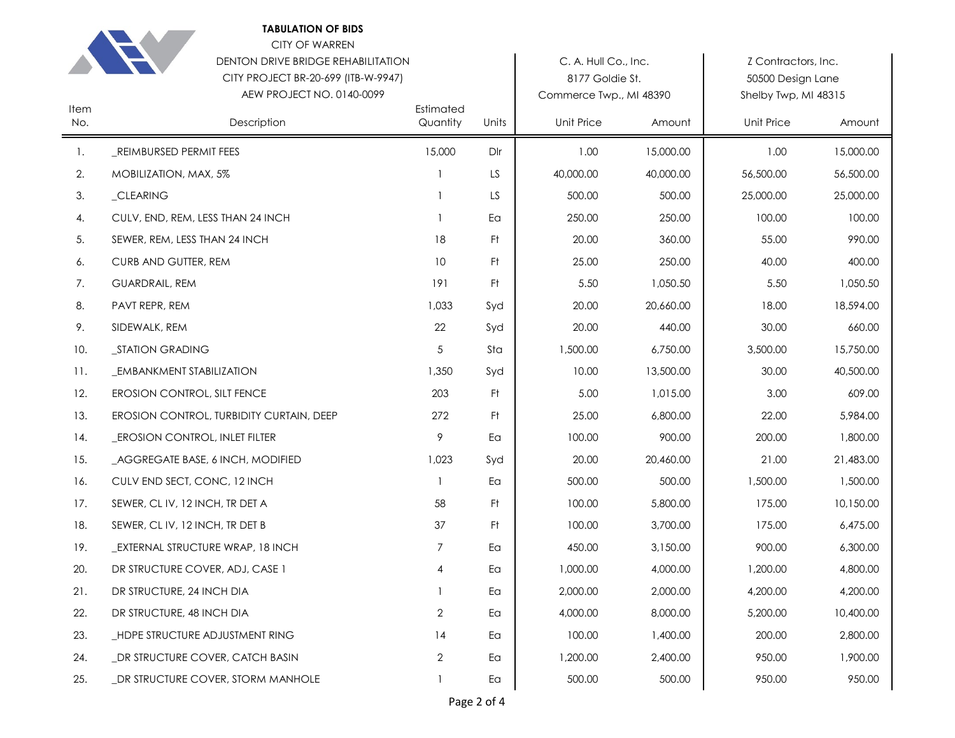|             | <b>TABULATION OF BIDS</b><br>CITY OF WARREN<br>DENTON DRIVE BRIDGE REHABILITATION<br>CITY PROJECT BR-20-699 (ITB-W-9947)<br>AEW PROJECT NO. 0140-0099 |                       |       | C. A. Hull Co., Inc.<br>8177 Goldie St.<br>Commerce Twp., MI 48390 |           | Z Contractors, Inc.<br>50500 Design Lane<br>Shelby Twp, MI 48315 |           |
|-------------|-------------------------------------------------------------------------------------------------------------------------------------------------------|-----------------------|-------|--------------------------------------------------------------------|-----------|------------------------------------------------------------------|-----------|
| Item<br>No. | Description                                                                                                                                           | Estimated<br>Quantity | Units | <b>Unit Price</b>                                                  | Amount    | <b>Unit Price</b>                                                | Amount    |
| 1.          | _REIMBURSED PERMIT FEES                                                                                                                               | 15,000                | Dlr   | 1.00                                                               | 15,000.00 | 1.00                                                             | 15,000.00 |
| 2.          | MOBILIZATION, MAX, 5%                                                                                                                                 | $\mathbf{1}$          | LS    | 40,000.00                                                          | 40,000.00 | 56,500.00                                                        | 56,500.00 |
| 3.          | _CLEARING                                                                                                                                             | $\mathbf{1}$          | LS    | 500.00                                                             | 500.00    | 25,000.00                                                        | 25,000.00 |
| 4.          | CULV, END, REM, LESS THAN 24 INCH                                                                                                                     | 1                     | Ea    | 250.00                                                             | 250.00    | 100.00                                                           | 100.00    |
| 5.          | SEWER, REM, LESS THAN 24 INCH                                                                                                                         | 18                    | Ft.   | 20.00                                                              | 360.00    | 55.00                                                            | 990.00    |
| 6.          | CURB AND GUTTER, REM                                                                                                                                  | 10                    | Ft.   | 25.00                                                              | 250.00    | 40.00                                                            | 400.00    |
| 7.          | <b>GUARDRAIL, REM</b>                                                                                                                                 | 191                   | Ft.   | 5.50                                                               | 1,050.50  | 5.50                                                             | 1,050.50  |
| 8.          | PAVT REPR, REM                                                                                                                                        | 1,033                 | Syd   | 20.00                                                              | 20,660.00 | 18.00                                                            | 18,594.00 |
| 9.          | SIDEWALK, REM                                                                                                                                         | 22                    | Syd   | 20.00                                                              | 440.00    | 30.00                                                            | 660.00    |
| 10.         | _STATION GRADING                                                                                                                                      | 5                     | Sta   | 1,500.00                                                           | 6,750.00  | 3,500.00                                                         | 15,750.00 |
| 11.         | <b>EMBANKMENT STABILIZATION</b>                                                                                                                       | 1,350                 | Syd   | 10.00                                                              | 13,500.00 | 30.00                                                            | 40,500.00 |
| 12.         | EROSION CONTROL, SILT FENCE                                                                                                                           | 203                   | Ft.   | 5.00                                                               | 1,015.00  | 3.00                                                             | 609.00    |
| 13.         | EROSION CONTROL, TURBIDITY CURTAIN, DEEP                                                                                                              | 272                   | Ft.   | 25.00                                                              | 6,800.00  | 22.00                                                            | 5,984.00  |
| 14.         | <b>EROSION CONTROL, INLET FILTER</b>                                                                                                                  | 9                     | Ea    | 100.00                                                             | 900.00    | 200.00                                                           | 1,800.00  |
| 15.         | _AGGREGATE BASE, 6 INCH, MODIFIED                                                                                                                     | 1,023                 | Syd   | 20.00                                                              | 20,460.00 | 21.00                                                            | 21,483.00 |
| 16.         | CULV END SECT, CONC, 12 INCH                                                                                                                          | 1                     | Ea    | 500.00                                                             | 500.00    | 1,500.00                                                         | 1,500.00  |
| 17.         | SEWER, CL IV, 12 INCH, TR DET A                                                                                                                       | 58                    | Ft.   | 100.00                                                             | 5,800.00  | 175.00                                                           | 10,150.00 |
| 18.         | SEWER, CL IV, 12 INCH, TR DET B                                                                                                                       | 37                    | Ft.   | 100.00                                                             | 3,700.00  | 175.00                                                           | 6,475.00  |
| 19.         | _EXTERNAL STRUCTURE WRAP, 18 INCH                                                                                                                     | 7                     | Ea    | 450.00                                                             | 3,150.00  | 900.00                                                           | 6,300.00  |
| 20.         | DR STRUCTURE COVER, ADJ, CASE 1                                                                                                                       | 4                     | Ea    | 1,000.00                                                           | 4,000.00  | 1,200.00                                                         | 4,800.00  |
| 21.         | DR STRUCTURE, 24 INCH DIA                                                                                                                             |                       | Ea    | 2,000.00                                                           | 2,000.00  | 4,200.00                                                         | 4,200.00  |
| 22.         | DR STRUCTURE, 48 INCH DIA                                                                                                                             | $\overline{2}$        | Ea    | 4,000.00                                                           | 8,000.00  | 5,200.00                                                         | 10,400.00 |
| 23.         | _HDPE STRUCTURE ADJUSTMENT RING                                                                                                                       | 14                    | Ea    | 100.00                                                             | 1,400.00  | 200.00                                                           | 2,800.00  |
| 24.         | _DR STRUCTURE COVER, CATCH BASIN                                                                                                                      | 2                     | Ea    | 1,200.00                                                           | 2,400.00  | 950.00                                                           | 1,900.00  |
| 25.         | _DR STRUCTURE COVER, STORM MANHOLE                                                                                                                    | $\mathbf{1}$          | Ea    | 500.00                                                             | 500.00    | 950.00                                                           | 950.00    |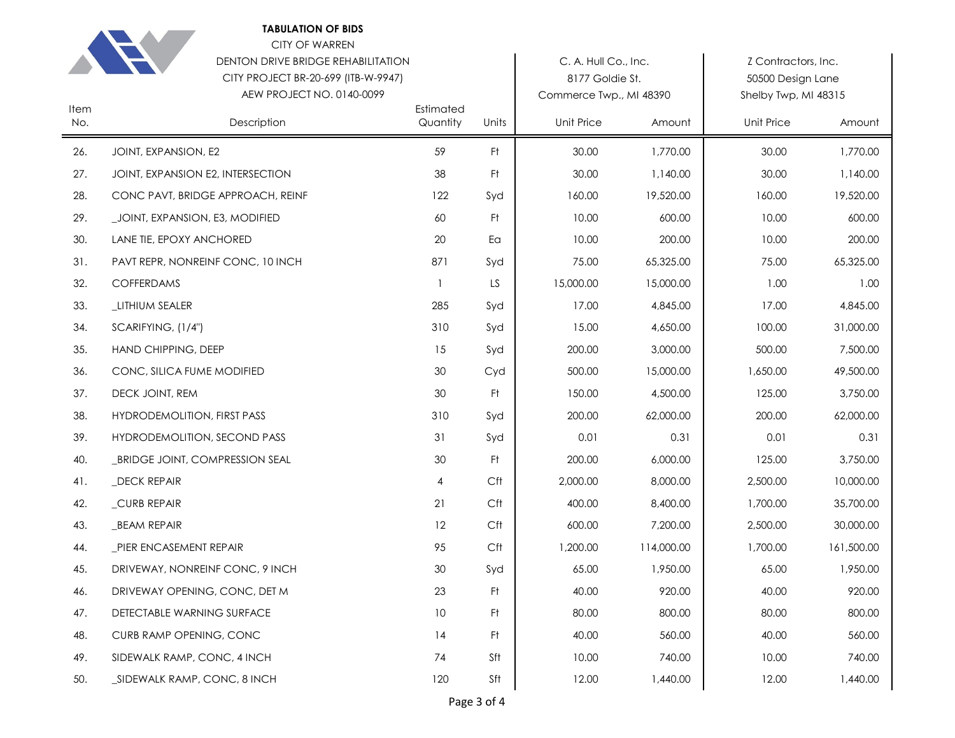|             | <b>TABULATION OF BIDS</b><br><b>CITY OF WARREN</b><br>DENTON DRIVE BRIDGE REHABILITATION<br>CITY PROJECT BR-20-699 (ITB-W-9947)<br>AEW PROJECT NO. 0140-0099 |                       |                | C. A. Hull Co., Inc.<br>8177 Goldie St.<br>Commerce Twp., MI 48390 |            | Z Contractors, Inc.<br>50500 Design Lane<br>Shelby Twp, MI 48315 |            |
|-------------|--------------------------------------------------------------------------------------------------------------------------------------------------------------|-----------------------|----------------|--------------------------------------------------------------------|------------|------------------------------------------------------------------|------------|
| Item<br>No. | Description                                                                                                                                                  | Estimated<br>Quantity | Units          | <b>Unit Price</b>                                                  | Amount     | <b>Unit Price</b>                                                | Amount     |
| 26.         | JOINT, EXPANSION, E2                                                                                                                                         | 59                    | Ft.            | 30.00                                                              | 1,770.00   | 30.00                                                            | 1,770.00   |
| 27.         | JOINT, EXPANSION E2, INTERSECTION                                                                                                                            | 38                    | Ft.            | 30.00                                                              | 1,140.00   | 30.00                                                            | 1,140.00   |
| 28.         | CONC PAVT, BRIDGE APPROACH, REINF                                                                                                                            | 122                   | Syd            | 160.00                                                             | 19,520.00  | 160.00                                                           | 19,520.00  |
| 29.         | _JOINT, EXPANSION, E3, MODIFIED                                                                                                                              | 60                    | Ft.            | 10.00                                                              | 600.00     | 10.00                                                            | 600.00     |
| 30.         | LANE TIE, EPOXY ANCHORED                                                                                                                                     | 20                    | Ea             | 10.00                                                              | 200.00     | 10.00                                                            | 200.00     |
| 31.         | PAVT REPR, NONREINF CONC, 10 INCH                                                                                                                            | 871                   | Syd            | 75.00                                                              | 65,325.00  | 75.00                                                            | 65,325.00  |
| 32.         | COFFERDAMS                                                                                                                                                   | $\mathbf{1}$          | LS             | 15,000.00                                                          | 15,000.00  | 1.00                                                             | 1.00       |
| 33.         | _LITHIUM SEALER                                                                                                                                              | 285                   | Syd            | 17.00                                                              | 4,845.00   | 17.00                                                            | 4,845.00   |
| 34.         | SCARIFYING, (1/4")                                                                                                                                           | 310                   | Syd            | 15.00                                                              | 4,650.00   | 100.00                                                           | 31,000.00  |
| 35.         | HAND CHIPPING, DEEP                                                                                                                                          | 15                    | Syd            | 200.00                                                             | 3,000.00   | 500.00                                                           | 7,500.00   |
| 36.         | CONC, SILICA FUME MODIFIED                                                                                                                                   | 30                    | Cyd            | 500.00                                                             | 15,000.00  | 1,650.00                                                         | 49,500.00  |
| 37.         | DECK JOINT, REM                                                                                                                                              | 30                    | Ft             | 150.00                                                             | 4,500.00   | 125.00                                                           | 3,750.00   |
| 38.         | HYDRODEMOLITION, FIRST PASS                                                                                                                                  | 310                   | Syd            | 200.00                                                             | 62,000.00  | 200.00                                                           | 62,000.00  |
| 39.         | HYDRODEMOLITION, SECOND PASS                                                                                                                                 | 31                    | Syd            | 0.01                                                               | 0.31       | 0.01                                                             | 0.31       |
| 40.         | _BRIDGE JOINT, COMPRESSION SEAL                                                                                                                              | 30                    | F <sup>†</sup> | 200.00                                                             | 6,000.00   | 125.00                                                           | 3,750.00   |
| 41.         | _DECK REPAIR                                                                                                                                                 | 4                     | Cft            | 2,000.00                                                           | 8,000.00   | 2,500.00                                                         | 10,000.00  |
| 42.         | _CURB REPAIR                                                                                                                                                 | 21                    | Cft            | 400.00                                                             | 8,400.00   | 1,700.00                                                         | 35,700.00  |
| 43.         | _BEAM REPAIR                                                                                                                                                 | 12                    | Cft            | 600.00                                                             | 7,200.00   | 2,500.00                                                         | 30,000.00  |
| 44.         | _PIER ENCASEMENT REPAIR                                                                                                                                      | 95                    | Cft            | 1,200.00                                                           | 114,000.00 | 1,700.00                                                         | 161,500.00 |
| 45.         | DRIVEWAY, NONREINF CONC, 9 INCH                                                                                                                              | 30                    | Syd            | 65.00                                                              | 1,950.00   | 65.00                                                            | 1,950.00   |
| 46.         | DRIVEWAY OPENING, CONC, DET M                                                                                                                                | 23                    | Ft             | 40.00                                                              | 920.00     | 40.00                                                            | 920.00     |
| 47.         | DETECTABLE WARNING SURFACE                                                                                                                                   | $10$                  | Ft             | 80.00                                                              | 800.00     | 80.00                                                            | 800.00     |
| 48.         | CURB RAMP OPENING, CONC                                                                                                                                      | 14                    | Ft             | 40.00                                                              | 560.00     | 40.00                                                            | 560.00     |
| 49.         | SIDEWALK RAMP, CONC, 4 INCH                                                                                                                                  | 74                    | Sft            | 10.00                                                              | 740.00     | 10.00                                                            | 740.00     |
| 50.         | _SIDEWALK RAMP, CONC, 8 INCH                                                                                                                                 | 120                   | Sft            | 12.00                                                              | 1,440.00   | 12.00                                                            | 1,440.00   |